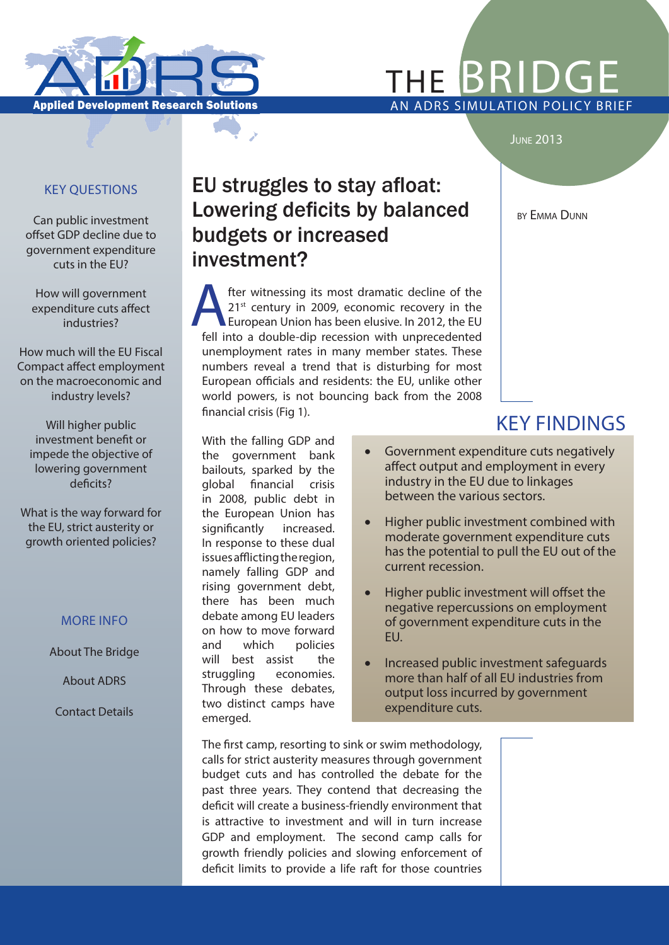

# THE  $\mathsf{BRI}$

#### **JUNE 2013**

#### KEY QUESTIONS

Can public investment offset GDP decline due to government expenditure cuts in the EU?

How will government expenditure cuts affect industries?

How much will the EU Fiscal Compact affect employment on the macroeconomic and industry levels?

Will higher public investment benefit or impede the objective of lowering government deficits?

What is the way forward for the EU, strict austerity or growth oriented policies?

#### MORE INFO

About The Bridge

About ADRS

Contact Details

# EU struggles to stay afloat: Lowering deficits by balanced budgets or increased investment?

fter witnessing its most dramatic decline of the<br>21<sup>st</sup> century in 2009, economic recovery in the<br>European Union has been elusive. In 2012, the EU<br>fell into a double-din recession with unprecedented 21<sup>st</sup> century in 2009, economic recovery in the European Union has been elusive. In 2012, the EU fell into a double-dip recession with unprecedented unemployment rates in many member states. These numbers reveal a trend that is disturbing for most European officials and residents: the EU, unlike other world powers, is not bouncing back from the 2008 financial crisis (Fig 1).

With the falling GDP and the government bank bailouts, sparked by the global financial crisis in 2008, public debt in the European Union has significantly increased. In response to these dual issues afflicting the region, namely falling GDP and rising government debt, there has been much debate among EU leaders on how to move forward and which policies will best assist the struggling economies. Through these debates, two distinct camps have emerged.

**BY EMMA DUNN** 

# KEY FINDINGS

- Government expenditure cuts negatively affect output and employment in every industry in the EU due to linkages between the various sectors.
- Higher public investment combined with moderate government expenditure cuts has the potential to pull the EU out of the current recession.
- Higher public investment will offset the negative repercussions on employment of government expenditure cuts in the EU.
- Increased public investment safeguards more than half of all EU industries from output loss incurred by government expenditure cuts.

The first camp, resorting to sink or swim methodology, calls for strict austerity measures through government budget cuts and has controlled the debate for the past three years. They contend that decreasing the deficit will create a business-friendly environment that is attractive to investment and will in turn increase GDP and employment. The second camp calls for growth friendly policies and slowing enforcement of deficit limits to provide a life raft for those countries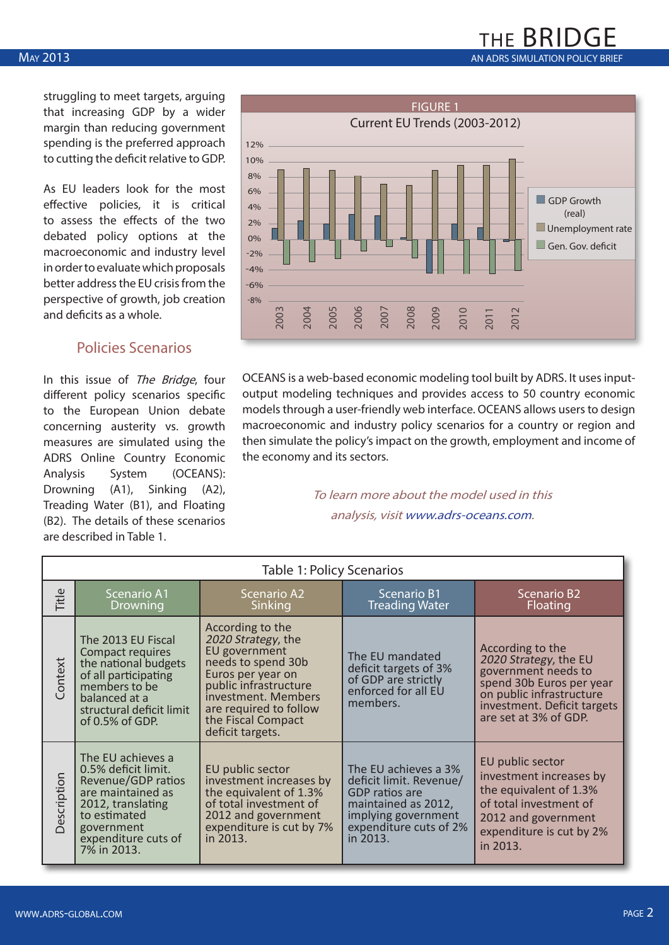### THE BRIDGE MAY 2013 **AN ADRS SIMULATION POLICY BRIEF** CONTINUES AND AN ADRS SIMULATION POLICY BRIEF

struggling to meet targets, arguing that increasing GDP by a wider margin than reducing government spending is the preferred approach to cutting the deficit relative to GDP.

As EU leaders look for the most effective policies, it is critical to assess the effects of the two debated policy options at the macroeconomic and industry level in order to evaluate which proposals better address the EU crisis from the perspective of growth, job creation and deficits as a whole.

#### Policies Scenarios

In this issue of The Bridge, four different policy scenarios specific to the European Union debate concerning austerity vs. growth measures are simulated using the ADRS Online Country Economic Analysis System (OCEANS): Drowning (A1), Sinking (A2), Treading Water (B1), and Floating (B2). The details of these scenarios are described in Table 1.



OCEANS is a web-based economic modeling tool built by ADRS. It uses inputoutput modeling techniques and provides access to 50 country economic models through a user-friendly web interface. OCEANS allows users to design macroeconomic and industry policy scenarios for a country or region and then simulate the policy's impact on the growth, employment and income of the economy and its sectors.

> To learn more about the model used in this analysis, visit www.adrs-oceans.com.

| <b>Table 1: Policy Scenarios</b> |                                                                                                                                                                              |                                                                                                                                                                                                                        |                                                                                                                                                              |                                                                                                                                                                                  |  |  |  |  |  |  |
|----------------------------------|------------------------------------------------------------------------------------------------------------------------------------------------------------------------------|------------------------------------------------------------------------------------------------------------------------------------------------------------------------------------------------------------------------|--------------------------------------------------------------------------------------------------------------------------------------------------------------|----------------------------------------------------------------------------------------------------------------------------------------------------------------------------------|--|--|--|--|--|--|
| Title                            | <b>Scenario A1</b><br>Drowning                                                                                                                                               | <b>Scenario A2</b><br>Sinking                                                                                                                                                                                          | <b>Scenario B1</b><br><b>Treading Water</b>                                                                                                                  | <b>Scenario B2</b><br>Floating                                                                                                                                                   |  |  |  |  |  |  |
| Context                          | The 2013 EU Fiscal<br>Compact requires<br>the national budgets<br>of all participating<br>members to be<br>balanced at a<br>structural deficit limit<br>of $0.5\%$ of GDP.   | According to the<br>2020 Strategy, the<br>EU government<br>needs to spend 30b<br>Euros per year on<br>public infrastructure<br>investment. Members<br>are required to follow<br>the Fiscal Compact<br>deficit targets. |                                                                                                                                                              | According to the<br>2020 Strategy, the EU<br>government needs to<br>spend 30b Euros per year<br>on public infrastructure<br>investment. Deficit targets<br>are set at 3% of GDP. |  |  |  |  |  |  |
| Description                      | The EU achieves a<br>0.5% deficit limit.<br>Revenue/GDP ratios<br>are maintained as<br>2012, translating<br>to estimated<br>government<br>expenditure cuts of<br>7% in 2013. | EU public sector<br>investment increases by<br>the equivalent of 1.3%<br>of total investment of<br>2012 and government<br>expenditure is cut by 7%<br>in 2013.                                                         | The EU achieves a 3%<br>deficit limit. Revenue/<br><b>GDP</b> ratios are<br>maintained as 2012,<br>implying government<br>expenditure cuts of 2%<br>in 2013. | EU public sector<br>investment increases by<br>the equivalent of 1.3%<br>of total investment of<br>2012 and government<br>expenditure is cut by 2%<br>in 2013.                   |  |  |  |  |  |  |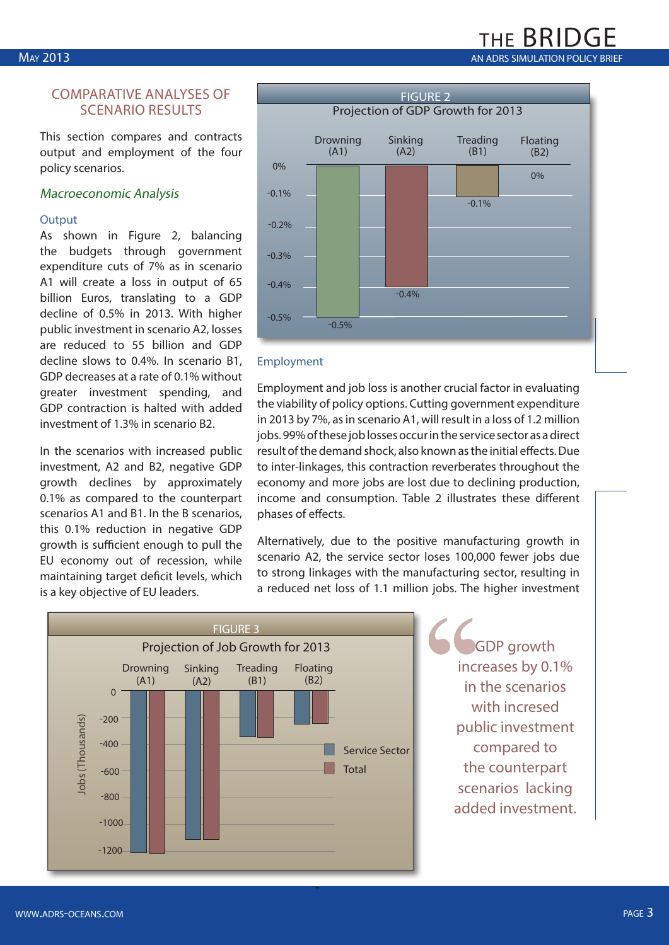#### COMPARATIVE ANALYSES OF SCENARIO RESULTS

This section compares and contracts output and employment of the four policy scenarios.

#### Macroeconomic Analysis

#### **Output**

As shown in Figure 2, balancing the budgets through government expenditure cuts of 7% as in scenario A1 will create a loss in output of 65 billion Euros, translating to a GDP decline of 0.5% in 2013. With higher public investment in scenario A2, losses are reduced to 55 billion and GDP decline slows to 0.4%. In scenario B1, GDP decreases at a rate of 0.1% without greater investment spending, and GDP contraction is halted with added investment of 1.3% in scenario B2.

In the scenarios with increased public investment, A2 and B2, negative GDP growth declines by approximately 0.1% as compared to the counterpart scenarios A1 and B1. In the B scenarios, this 0.1% reduction in negative GDP growth is sufficient enough to pull the EU economy out of recession, while maintaining target deficit levels, which is a key objective of EU leaders.



the BRI

#### Employment

Employment and job loss is another crucial factor in evaluating the viability of policy options. Cutting government expenditure in 2013 by 7%, as in scenario A1, will result in a loss of 1.2 million jobs. 99% of these job losses occur in the service sector as a direct result of the demand shock, also known as the initial effects. Due to inter-linkages, this contraction reverberates throughout the economy and more jobs are lost due to declining production, income and consumption. Table 2 illustrates these different phases of effects.

Alternatively, due to the positive manufacturing growth in scenario A2, the service sector loses 100,000 fewer jobs due to strong linkages with the manufacturing sector, resulting in a reduced net loss of 1.1 million jobs. The higher investment



GDP growth increases by 0.1% in the scenarios with incresed public investment compared to the counterpart scenarios lacking added investment.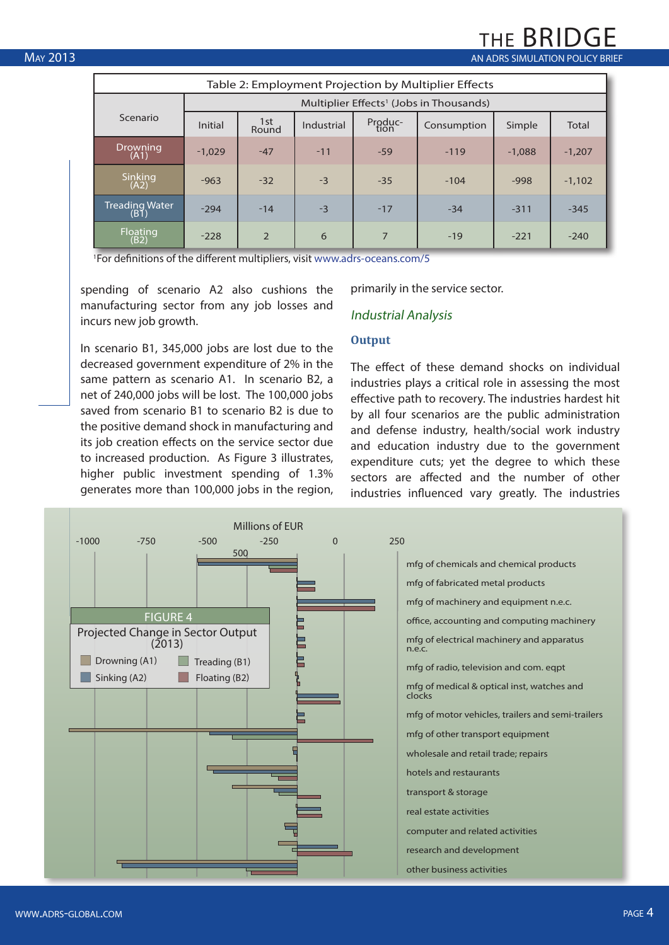$\frac{1}{100}$  May 2013 May 2013

| Table 2: Employment Projection by Multiplier Effects |                                                     |                |            |                 |             |          |          |  |  |  |  |
|------------------------------------------------------|-----------------------------------------------------|----------------|------------|-----------------|-------------|----------|----------|--|--|--|--|
|                                                      | Multiplier Effects <sup>1</sup> (Jobs in Thousands) |                |            |                 |             |          |          |  |  |  |  |
| Scenario                                             | <b>Initial</b>                                      | 1st<br>Round   | Industrial | Produc-<br>tion | Consumption | Simple   | Total    |  |  |  |  |
| Drowning<br>(A1)                                     | $-1.029$                                            | $-47$          | $-11$      | $-59$           | $-119$      | $-1.088$ | $-1,207$ |  |  |  |  |
| Sinking<br>(A2)                                      | $-963$                                              | $-32$          | $-3$       | $-35$           | $-104$      | $-998$   | $-1.102$ |  |  |  |  |
| Treading Water<br>(B1)                               | $-294$                                              | $-14$          | $-3$       | $-17$           | $-34$       | $-311$   | $-345$   |  |  |  |  |
| Floating<br>(B2)                                     | $-228$                                              | $\overline{2}$ | 6          | 7               | $-19$       | $-221$   | $-240$   |  |  |  |  |

1 For definitions of the different multipliers, visit www.adrs-oceans.com/5

spending of scenario A2 also cushions the manufacturing sector from any job losses and incurs new job growth.

primarily in the service sector.

#### Industrial Analysis

#### **Output**

In scenario B1, 345,000 jobs are lost due to the decreased government expenditure of 2% in the same pattern as scenario A1. In scenario B2, a net of 240,000 jobs will be lost. The 100,000 jobs saved from scenario B1 to scenario B2 is due to the positive demand shock in manufacturing and its job creation effects on the service sector due to increased production. As Figure 3 illustrates, higher public investment spending of 1.3% generates more than 100,000 jobs in the region,

The effect of these demand shocks on individual industries plays a critical role in assessing the most effective path to recovery. The industries hardest hit by all four scenarios are the public administration and defense industry, health/social work industry and education industry due to the government expenditure cuts; yet the degree to which these sectors are affected and the number of other industries influenced vary greatly. The industries

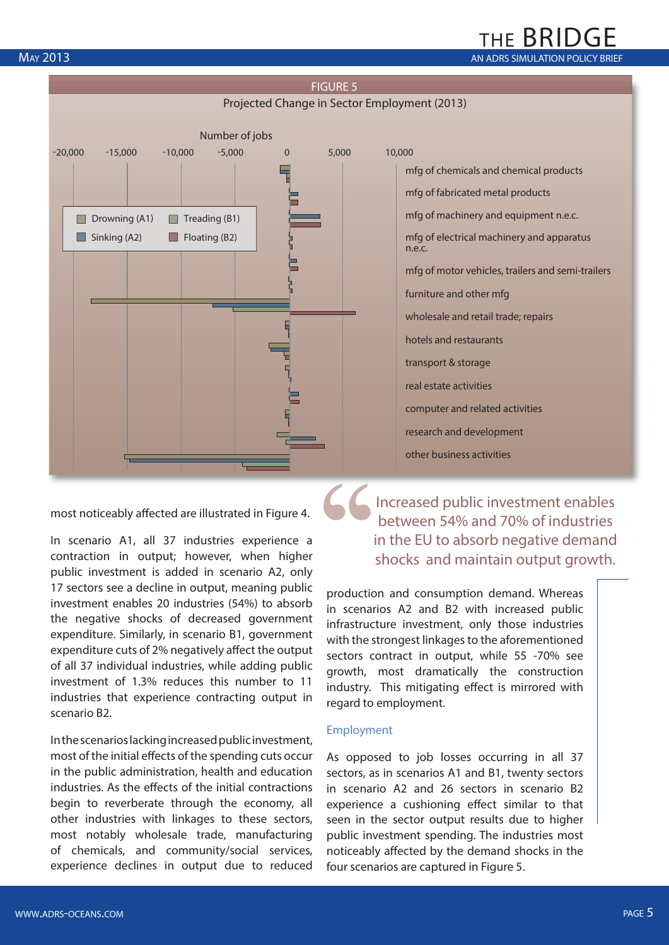### THE BRIDGE MAY 2013 **AN ADRS SIMULATION POLICY BRIEF**



most noticeably affected are illustrated in Figure 4.

In scenario A1, all 37 industries experience a contraction in output; however, when higher public investment is added in scenario A2, only 17 sectors see a decline in output, meaning public investment enables 20 industries (54%) to absorb the negative shocks of decreased government expenditure. Similarly, in scenario B1, government expenditure cuts of 2% negatively affect the output of all 37 individual industries, while adding public investment of 1.3% reduces this number to 11 industries that experience contracting output in scenario B2.

In the scenarios lacking increased public investment, most of the initial effects of the spending cuts occur in the public administration, health and education industries. As the effects of the initial contractions begin to reverberate through the economy, all other industries with linkages to these sectors, most notably wholesale trade, manufacturing of chemicals, and community/social services, experience declines in output due to reduced

mfg of chemicals and chemical products mfg of fabricated metal products mfg of machinery and equipment n.e.c. mfg of electrical machinery and apparatus n.e.c. mfg of motor vehicles, trailers and semi-trailers furniture and other mfg wholesale and retail trade; repairs hotels and restaurants transport & storage real estate activities computer and related activities research and development

Increased public investment enables between 54% and 70% of industries in the EU to absorb negative demand shocks and maintain output growth.

production and consumption demand. Whereas in scenarios A2 and B2 with increased public infrastructure investment, only those industries with the strongest linkages to the aforementioned sectors contract in output, while 55 -70% see growth, most dramatically the construction industry. This mitigating effect is mirrored with regard to employment.

other business activities

#### Employment

As opposed to job losses occurring in all 37 sectors, as in scenarios A1 and B1, twenty sectors in scenario A2 and 26 sectors in scenario B2 experience a cushioning effect similar to that seen in the sector output results due to higher public investment spending. The industries most noticeably affected by the demand shocks in the four scenarios are captured in Figure 5.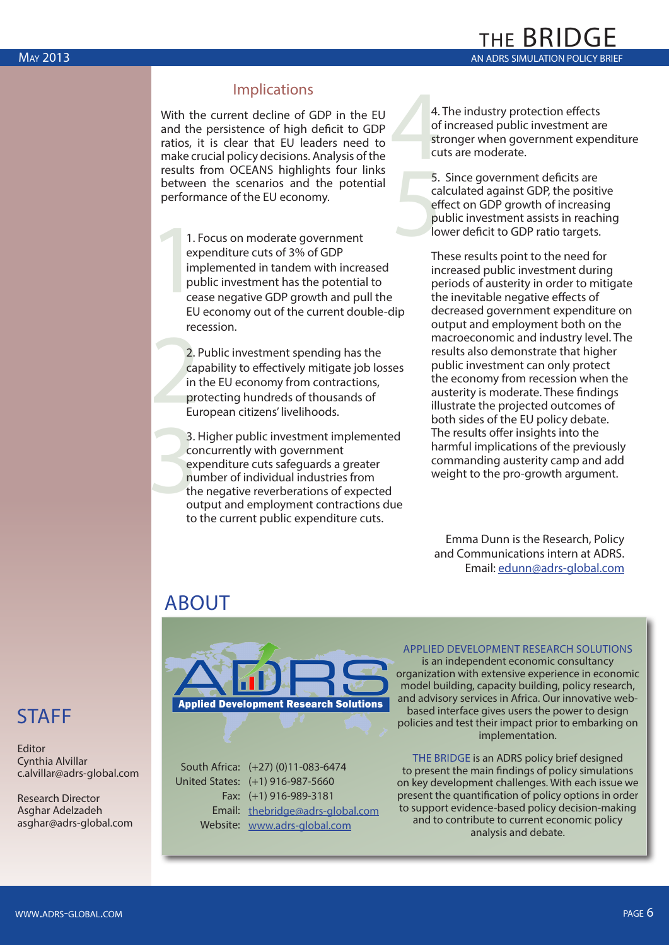#### Implications

With the current decline of GDP in the EU and the persistence of high deficit to GDP ratios, it is clear that EU leaders need to make crucial policy decisions. Analysis of the results from OCEANS highlights four links between the scenarios and the potential performance of the EU economy.

make citeral policy decisions. Amaysis of the<br>results from OCEANS highlights four links<br>between the scenarios and the potential<br>erformance of the EU economy.<br>effective contract of 3% of GDP<br>amplemented in tandem with incre 1. Focus on moderate government expenditure cuts of 3% of GDP implemented in tandem with increased public investment has the potential to cease negative GDP growth and pull the EU economy out of the current double-dip recession.

recession<br>
2.1<br>
Call<br>
in<br>
pro<br>
Eu 2. Public investment spending has the capability to effectively mitigate job losses in the EU economy from contractions, protecting hundreds of thousands of European citizens' livelihoods.

3.<br>
CO<br>
ex<br>
nu<br>
th<br>
ou 3. Higher public investment implemented concurrently with government expenditure cuts safeguards a greater number of individual industries from the negative reverberations of expected output and employment contractions due to the current public expenditure cuts.

 $4.4$  of st cu 4. The industry protection effects of increased public investment are stronger when government expenditure cuts are moderate.

THE BRIDGE

5. Since government deficits are calculated against GDP, the positive effect on GDP growth of increasing public investment assists in reaching lower deficit to GDP ratio targets.

These results point to the need for increased public investment during periods of austerity in order to mitigate the inevitable negative effects of decreased government expenditure on output and employment both on the macroeconomic and industry level. The results also demonstrate that higher public investment can only protect the economy from recession when the austerity is moderate. These findings illustrate the projected outcomes of both sides of the EU policy debate. The results offer insights into the harmful implications of the previously commanding austerity camp and add weight to the pro-growth argument.

Emma Dunn is the Research, Policy and Communications intern at ADRS. Email: edunn@adrs-global.com

# ABOUT



South Africa: (+27) (0)11-083-6474 United States: (+1) 916-987-5660 Fax: (+1) 916-989-3181 Email: thebridge@adrs-global.com Website: www.adrs-global.com

#### APPLIED DEVELOPMENT RESEARCH SOLUTIONS is an independent economic consultancy

organization with extensive experience in economic model building, capacity building, policy research, and advisory services in Africa. Our innovative webbased interface gives users the power to design policies and test their impact prior to embarking on implementation.

THE BRIDGE is an ADRS policy brief designed to present the main findings of policy simulations on key development challenges. With each issue we present the quantification of policy options in order to support evidence-based policy decision-making and to contribute to current economic policy analysis and debate.

# STAFF

Editor Cynthia Alvillar c.alvillar@adrs-global.com

Research Director Asghar Adelzadeh asghar@adrs-global.com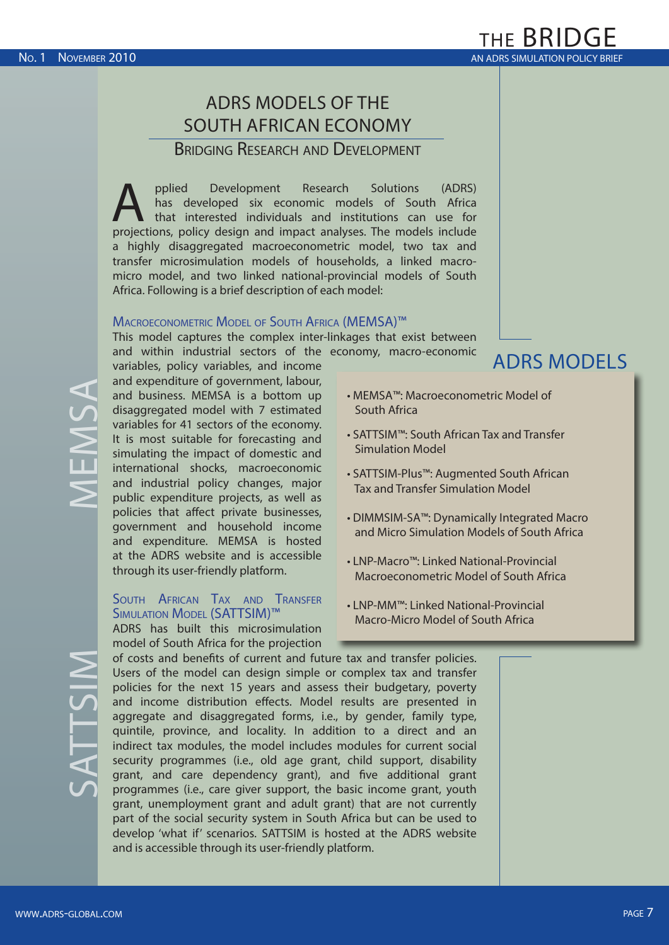# ADRS MODELS OF THE SOUTH AFRICAN ECONOMY

Bridging Research and Development

pplied Development Research Solutions (ADRS)<br>has developed six economic models of South Africa<br>that interested individuals and institutions can use for<br>projections policy design and impact analyses. The models include has developed six economic models of South Africa that interested individuals and institutions can use for projections, policy design and impact analyses. The models include a highly disaggregated macroeconometric model, two tax and transfer microsimulation models of households, a linked macromicro model, and two linked national-provincial models of South Africa. Following is a brief description of each model:

#### Macroeconometric Model of South Africa (MEMSA)™

This model captures the complex inter-linkages that exist between and within industrial sectors of the economy, macro-economic

variables, policy variables, and income and expenditure of government, labour, and business. MEMSA is a bottom up disaggregated model with 7 estimated variables for 41 sectors of the economy. It is most suitable for forecasting and simulating the impact of domestic and international shocks, macroeconomic and industrial policy changes, major public expenditure projects, as well as policies that affect private businesses, government and household income and expenditure. MEMSA is hosted at the ADRS website and is accessible through its user-friendly platform.

#### South African Tax and Transfer Simulation Model (SATTSIM)™

ADRS has built this microsimulation model of South Africa for the projection

ADRS MODELS

- MEMSA™: Macroeconometric Model of South Africa
- SATTSIM™: South African Tax and Transfer Simulation Model
- SATTSIM-Plus™: Augmented South African Tax and Transfer Simulation Model
- DIMMSIM-SA™: Dynamically Integrated Macro and Micro Simulation Models of South Africa
- LNP-Macro™: Linked National-Provincial Macroeconometric Model of South Africa
- LNP-MM™: Linked National-Provincial Macro-Micro Model of South Africa

of costs and benefits of current and future tax and transfer policies. Users of the model can design simple or complex tax and transfer policies for the next 15 years and assess their budgetary, poverty and income distribution effects. Model results are presented in aggregate and disaggregated forms, i.e., by gender, family type, quintile, province, and locality. In addition to a direct and an indirect tax modules, the model includes modules for current social security programmes (i.e., old age grant, child support, disability grant, and care dependency grant), and five additional grant programmes (i.e., care giver support, the basic income grant, youth grant, unemployment grant and adult grant) that are not currently part of the social security system in South Africa but can be used to develop 'what if' scenarios. SATTSIM is hosted at the ADRS website and is accessible through its user-friendly platform.

# MEMSA